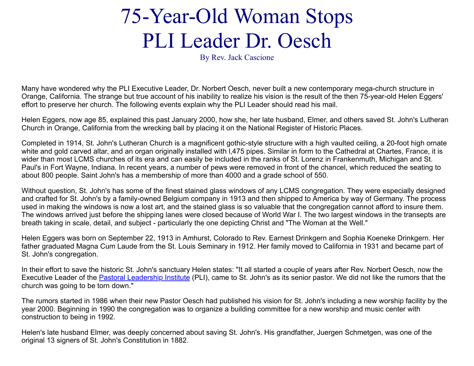## 75-Year-Old Woman Stops PLI Leader Dr. Oesch

By Rev. Jack Cascione

Many have wondered why the PLI Executive Leader, Dr. Norbert Oesch, never built a new contemporary mega-church structure in Orange, California. The strange but true account of his inability to realize his vision is the result of the then 75-year-old Helen Eggers' effort to preserve her church. The following events explain why the PLI Leader should read his mail.

Helen Eggers, now age 85, explained this past January 2000, how she, her late husband, Elmer, and others saved St. John's Lutheran Church in Orange, California from the wrecking ball by placing it on the National Register of Historic Places.

Completed in 1914, St. John's Lutheran Church is a magnificent gothic-style structure with a high vaulted ceiling, a 20-foot high ornate white and gold carved altar, and an organ originally installed with 1,475 pipes. Similar in form to the Cathedral at Chartes, France, it is wider than most LCMS churches of its era and can easily be included in the ranks of St. Lorenz in Frankenmuth, Michigan and St. Paul's in Fort Wayne, Indiana. In recent years, a number of pews were removed in front of the chancel, which reduced the seating to about 800 people. Saint John's has a membership of more than 4000 and a grade school of 550.

Without question, St. John's has some of the finest stained glass windows of any LCMS congregation. They were especially designed and crafted for St. John's by a family-owned Belgium company in 1913 and then shipped to America by way of Germany. The process used in making the windows is now a lost art, and the stained glass is so valuable that the congregation cannot afford to insure them. The windows arrived just before the shipping lanes were closed because of World War I. The two largest windows in the transepts are breath taking in scale, detail, and subject - particularly the one depicting Christ and "The Woman at the Well."

Helen Eggers was born on September 22, 1913 in Amhurst, Colorado to Rev. Earnest Drinkgern and Sophia Koeneke Drinkgern. Her father graduated Magna Cum Laude from the St. Louis Seminary in 1912. Her family moved to California in 1931 and became part of St. John's congregation.

In their effort to save the historic St. John's sanctuary Helen states: "It all started a couple of years after Rev. Norbert Oesch, now the Executive Leader of the [Pastoral Leadership Institute](http://www.pli-leader.org/) (PLI), came to St. John's as its senior pastor. We did not like the rumors that the church was going to be torn down."

The rumors started in 1986 when their new Pastor Oesch had published his vision for St. John's including a new worship facility by the year 2000. Beginning in 1990 the congregation was to organize a building committee for a new worship and music center with construction to being in 1992.

Helen's late husband Elmer, was deeply concerned about saving St. John's. His grandfather, Juergen Schmetgen, was one of the original 13 signers of St. John's Constitution in 1882.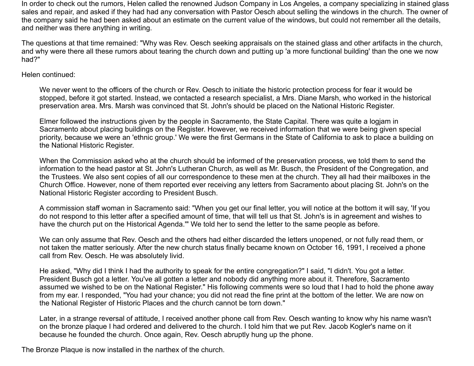In order to check out the rumors, Helen called the renowned Judson Company in Los Angeles, a company specializing in stained glass sales and repair, and asked if they had had any conversation with Pastor Oesch about selling the windows in the church. The owner of the company said he had been asked about an estimate on the current value of the windows, but could not remember all the details, and neither was there anything in writing.

The questions at that time remained: "Why was Rev. Oesch seeking appraisals on the stained glass and other artifacts in the church, and why were there all these rumors about tearing the church down and putting up 'a more functional building' than the one we now had?"

Helen continued:

We never went to the officers of the church or Rev. Oesch to initiate the historic protection process for fear it would be stopped, before it got started. Instead, we contacted a research specialist, a Mrs. Diane Marsh, who worked in the historical preservation area. Mrs. Marsh was convinced that St. John's should be placed on the National Historic Register.

Elmer followed the instructions given by the people in Sacramento, the State Capital. There was quite a logjam in Sacramento about placing buildings on the Register. However, we received information that we were being given special priority, because we were an 'ethnic group.' We were the first Germans in the State of California to ask to place a building on the National Historic Register.

When the Commission asked who at the church should be informed of the preservation process, we told them to send the information to the head pastor at St. John's Lutheran Church, as well as Mr. Busch, the President of the Congregation, and the Trustees. We also sent copies of all our correspondence to these men at the church. They all had their mailboxes in the Church Office. However, none of them reported ever receiving any letters from Sacramento about placing St. John's on the National Historic Register according to President Busch.

A commission staff woman in Sacramento said: "When you get our final letter, you will notice at the bottom it will say, 'If you do not respond to this letter after a specified amount of time, that will tell us that St. John's is in agreement and wishes to have the church put on the Historical Agenda.'" We told her to send the letter to the same people as before.

We can only assume that Rev. Oesch and the others had either discarded the letters unopened, or not fully read them, or not taken the matter seriously. After the new church status finally became known on October 16, 1991, I received a phone call from Rev. Oesch. He was absolutely livid.

He asked, "Why did I think I had the authority to speak for the entire congregation?" I said, "I didn't. You got a letter. President Busch got a letter. You've all gotten a letter and nobody did anything more about it. Therefore, Sacramento assumed we wished to be on the National Register." His following comments were so loud that I had to hold the phone away from my ear. I responded, "You had your chance; you did not read the fine print at the bottom of the letter. We are now on the National Register of Historic Places and the church cannot be torn down."

Later, in a strange reversal of attitude, I received another phone call from Rev. Oesch wanting to know why his name wasn't on the bronze plaque I had ordered and delivered to the church. I told him that we put Rev. Jacob Kogler's name on it because he founded the church. Once again, Rev. Oesch abruptly hung up the phone.

The Bronze Plaque is now installed in the narthex of the church.